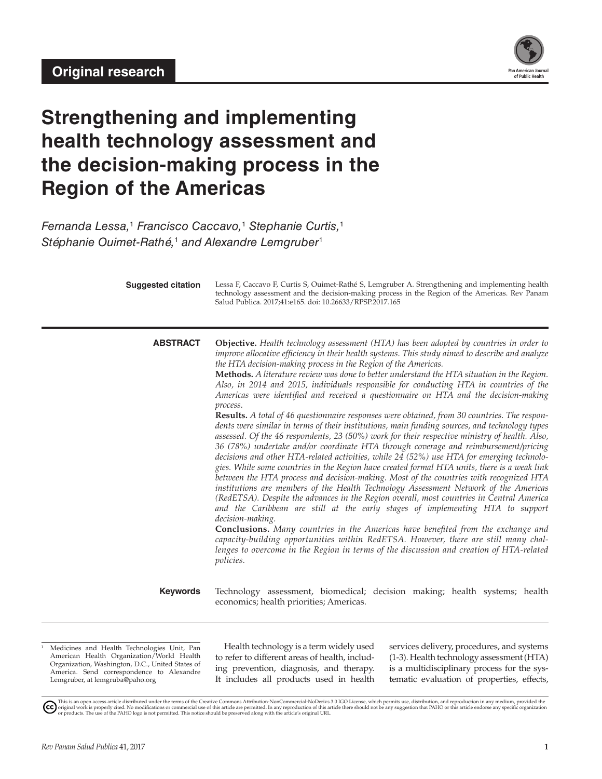

# **Strengthening and implementing health technology assessment and the decision-making process in the Region of the Americas**

*Fernanda Lessa,*<sup>1</sup>  *Francisco Caccavo,*<sup>1</sup>  *Stephanie Curtis,*<sup>1</sup> *Stéphanie Ouimet-Rathé,*<sup>1</sup>  *and Alexandre Lemgruber*<sup>1</sup>

| <b>Suggested citation</b> | Lessa F, Caccavo F, Curtis S, Ouimet-Rathé S, Lemgruber A. Strengthening and implementing health<br>technology assessment and the decision-making process in the Region of the Americas. Rev Panam<br>Salud Publica. 2017;41:e165. doi: 10.26633/RPSP.2017.165                                                                                                                                                                                                                                                                                                                                                                                                                                                                                                                                                                                                                                                                                                                                                                                                                                                                                                                                                                                                                                                                                                                                                                                                                                                                                                                                                                                                                                                                                                                                                                              |
|---------------------------|---------------------------------------------------------------------------------------------------------------------------------------------------------------------------------------------------------------------------------------------------------------------------------------------------------------------------------------------------------------------------------------------------------------------------------------------------------------------------------------------------------------------------------------------------------------------------------------------------------------------------------------------------------------------------------------------------------------------------------------------------------------------------------------------------------------------------------------------------------------------------------------------------------------------------------------------------------------------------------------------------------------------------------------------------------------------------------------------------------------------------------------------------------------------------------------------------------------------------------------------------------------------------------------------------------------------------------------------------------------------------------------------------------------------------------------------------------------------------------------------------------------------------------------------------------------------------------------------------------------------------------------------------------------------------------------------------------------------------------------------------------------------------------------------------------------------------------------------|
| <b>ABSTRACT</b>           | Objective. Health technology assessment (HTA) has been adopted by countries in order to<br>improve allocative efficiency in their health systems. This study aimed to describe and analyze<br>the HTA decision-making process in the Region of the Americas.<br>Methods. A literature review was done to better understand the HTA situation in the Region.<br>Also, in 2014 and 2015, individuals responsible for conducting HTA in countries of the<br>Americas were identified and received a questionnaire on HTA and the decision-making<br>process.<br><b>Results.</b> A total of 46 questionnaire responses were obtained, from 30 countries. The respon-<br>dents were similar in terms of their institutions, main funding sources, and technology types<br>assessed. Of the 46 respondents, 23 (50%) work for their respective ministry of health. Also,<br>36 (78%) undertake and/or coordinate HTA through coverage and reimbursement/pricing<br>decisions and other HTA-related activities, while 24 (52%) use HTA for emerging technolo-<br>gies. While some countries in the Region have created formal HTA units, there is a weak link<br>between the HTA process and decision-making. Most of the countries with recognized HTA<br>institutions are members of the Health Technology Assessment Network of the Americas<br>(RedETSA). Despite the advances in the Region overall, most countries in Central America<br>and the Caribbean are still at the early stages of implementing HTA to support<br>decision-making.<br><b>Conclusions.</b> Many countries in the Americas have benefited from the exchange and<br>capacity-building opportunities within RedETSA. However, there are still many chal-<br>lenges to overcome in the Region in terms of the discussion and creation of HTA-related<br><i>policies.</i> |
| <b>Keywords</b>           | Technology assessment, biomedical; decision making; health systems; health<br>economics; health priorities; Americas.                                                                                                                                                                                                                                                                                                                                                                                                                                                                                                                                                                                                                                                                                                                                                                                                                                                                                                                                                                                                                                                                                                                                                                                                                                                                                                                                                                                                                                                                                                                                                                                                                                                                                                                       |

<sup>1</sup> Medicines and Health Technologies Unit, Pan American Health Organization/World Health Organization, Washington, D.C., United States of America. Send correspondence to Alexandre Lemgruber, at lemgruba@paho.org

Health technology is a term widely used to refer to different areas of health, including prevention, diagnosis, and therapy. It includes all products used in health services delivery, procedures, and systems (1-3). Health technology assessment (HTA) is a multidisciplinary process for the systematic evaluation of properties, effects,

This is an open access article distributed under the terms of the [Creative Commons Attribution-NonCommercial-NoDerivs 3.0 IGO License](https://creativecommons.org/licenses/by-nc-nd/3.0/igo/legalcode), which permits use, distribution, and reproduction in any medium, provided the<br>orignal w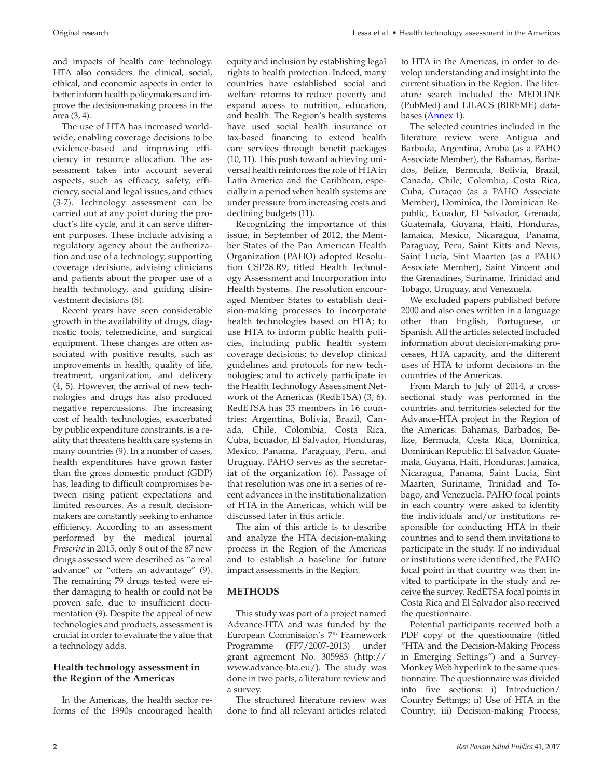and impacts of health care technology. HTA also considers the clinical, social, ethical, and economic aspects in order to better inform health policymakers and improve the decision-making process in the area (3, 4).

The use of HTA has increased worldwide, enabling coverage decisions to be evidence-based and improving efficiency in resource allocation. The assessment takes into account several aspects, such as efficacy, safety, efficiency, social and legal issues, and ethics (3-7). Technology assessment can be carried out at any point during the product's life cycle, and it can serve different purposes. These include advising a regulatory agency about the authorization and use of a technology, supporting coverage decisions, advising clinicians and patients about the proper use of a health technology, and guiding disinvestment decisions (8).

Recent years have seen considerable growth in the availability of drugs, diagnostic tools, telemedicine, and surgical equipment. These changes are often associated with positive results, such as improvements in health, quality of life, treatment, organization, and delivery (4, 5). However, the arrival of new technologies and drugs has also produced negative repercussions. The increasing cost of health technologies, exacerbated by public expenditure constraints, is a reality that threatens health care systems in many countries (9). In a number of cases, health expenditures have grown faster than the gross domestic product (GDP) has, leading to difficult compromises between rising patient expectations and limited resources. As a result, decisionmakers are constantly seeking to enhance efficiency. According to an assessment performed by the medical journal *Prescrire* in 2015, only 8 out of the 87 new drugs assessed were described as "a real advance" or "offers an advantage" (9). The remaining 79 drugs tested were either damaging to health or could not be proven safe, due to insufficient documentation (9). Despite the appeal of new technologies and products, assessment is crucial in order to evaluate the value that a technology adds.

# **Health technology assessment in the Region of the Americas**

In the Americas, the health sector reforms of the 1990s encouraged health equity and inclusion by establishing legal rights to health protection. Indeed, many countries have established social and welfare reforms to reduce poverty and expand access to nutrition, education, and health. The Region's health systems have used social health insurance or tax-based financing to extend health care services through benefit packages (10, 11). This push toward achieving universal health reinforces the role of HTA in Latin America and the Caribbean, especially in a period when health systems are under pressure from increasing costs and declining budgets (11).

Recognizing the importance of this issue, in September of 2012, the Member States of the Pan American Health Organization (PAHO) adopted Resolution CSP28.R9, titled Health Technology Assessment and Incorporation into Health Systems. The resolution encouraged Member States to establish decision-making processes to incorporate health technologies based on HTA; to use HTA to inform public health policies, including public health system coverage decisions; to develop clinical guidelines and protocols for new technologies; and to actively participate in the Health Technology Assessment Network of the Americas (RedETSA) (3, 6). RedETSA has 33 members in 16 countries: Argentina, Bolivia, Brazil, Canada, Chile, Colombia, Costa Rica, Cuba, Ecuador, El Salvador, Honduras, Mexico, Panama, Paraguay, Peru, and Uruguay. PAHO serves as the secretariat of the organization (6). Passage of that resolution was one in a series of recent advances in the institutionalization of HTA in the Americas, which will be discussed later in this article.

The aim of this article is to describe and analyze the HTA decision-making process in the Region of the Americas and to establish a baseline for future impact assessments in the Region.

# **METHODS**

This study was part of a project named Advance-HTA and was funded by the European Commission's 7th Framework Programme (FP7/2007-2013) under grant agreement No. 305983 (http:// www.advance-hta.eu/). The study was done in two parts, a literature review and a survey.

The structured literature review was done to find all relevant articles related to HTA in the Americas, in order to develop understanding and insight into the current situation in the Region. The literature search included the MEDLINE (PubMed) and LILACS (BIREME) databases ([Annex 1\)](http://www.paho.org/journal/index.php?option=com_docman&view=download&slug=8-caccavo-annex1&Itemid=847).

The selected countries included in the literature review were Antigua and Barbuda, Argentina, Aruba (as a PAHO Associate Member), the Bahamas, Barbados, Belize, Bermuda, Bolivia, Brazil, Canada, Chile, Colombia, Costa Rica, Cuba, Curaçao (as a PAHO Associate Member), Dominica, the Dominican Republic, Ecuador, El Salvador, Grenada, Guatemala, Guyana, Haiti, Honduras, Jamaica, Mexico, Nicaragua, Panama, Paraguay, Peru, Saint Kitts and Nevis, Saint Lucia, Sint Maarten (as a PAHO Associate Member), Saint Vincent and the Grenadines, Suriname, Trinidad and Tobago, Uruguay, and Venezuela.

We excluded papers published before 2000 and also ones written in a language other than English, Portuguese, or Spanish. All the articles selected included information about decision-making processes, HTA capacity, and the different uses of HTA to inform decisions in the countries of the Americas.

From March to July of 2014, a crosssectional study was performed in the countries and territories selected for the Advance-HTA project in the Region of the Americas: Bahamas, Barbados, Belize, Bermuda, Costa Rica, Dominica, Dominican Republic, El Salvador, Guatemala, Guyana, Haiti, Honduras, Jamaica, Nicaragua, Panama, Saint Lucia, Sint Maarten, Suriname, Trinidad and Tobago, and Venezuela. PAHO focal points in each country were asked to identify the individuals and/or institutions responsible for conducting HTA in their countries and to send them invitations to participate in the study. If no individual or institutions were identified, the PAHO focal point in that country was then invited to participate in the study and receive the survey. RedETSA focal points in Costa Rica and El Salvador also received the questionnaire.

Potential participants received both a PDF copy of the questionnaire (titled "HTA and the Decision-Making Process in Emerging Settings") and a Survey-Monkey Web hyperlink to the same questionnaire. The questionnaire was divided into five sections: i) Introduction/ Country Settings; ii) Use of HTA in the Country; iii) Decision-making Process;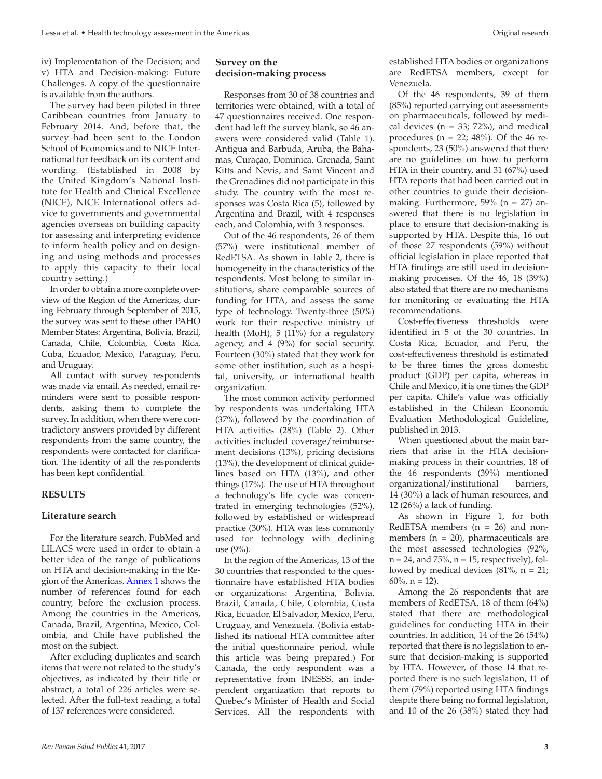iv) Implementation of the Decision; and v) HTA and Decision-making: Future Challenges. A copy of the questionnaire is available from the authors.

The survey had been piloted in three Caribbean countries from January to February 2014. And, before that, the survey had been sent to the London School of Economics and to NICE International for feedback on its content and wording. (Established in 2008 by the United Kingdom's National Institute for Health and Clinical Excellence (NICE), NICE International offers advice to governments and governmental agencies overseas on building capacity for assessing and interpreting evidence to inform health policy and on designing and using methods and processes to apply this capacity to their local country setting.)

In order to obtain a more complete overview of the Region of the Americas, during February through September of 2015, the survey was sent to these other PAHO Member States: Argentina, Bolivia, Brazil, Canada, Chile, Colombia, Costa Rica, Cuba, Ecuador, Mexico, Paraguay, Peru, and Uruguay.

All contact with survey respondents was made via email. As needed, email reminders were sent to possible respondents, asking them to complete the survey. In addition, when there were contradictory answers provided by different respondents from the same country, the respondents were contacted for clarification. The identity of all the respondents has been kept confidential.

#### **RESULTS**

#### **Literature search**

For the literature search, PubMed and LILACS were used in order to obtain a better idea of the range of publications on HTA and decision-making in the Region of the Americas. [Annex 1](http://www.paho.org/journal/index.php?option=com_docman&view=download&slug=8-caccavo-annex1&Itemid=847) shows the number of references found for each country, before the exclusion process. Among the countries in the Americas, Canada, Brazil, Argentina, Mexico, Colombia, and Chile have published the most on the subject.

After excluding duplicates and search items that were not related to the study's objectives, as indicated by their title or abstract, a total of 226 articles were selected. After the full-text reading, a total of 137 references were considered.

# **Survey on the decision-making process**

Responses from 30 of 38 countries and territories were obtained, with a total of 47 questionnaires received. One respondent had left the survey blank, so 46 answers were considered valid (Table 1). Antigua and Barbuda, Aruba, the Bahamas, Curaçao, Dominica, Grenada, Saint Kitts and Nevis, and Saint Vincent and the Grenadines did not participate in this study. The country with the most responses was Costa Rica (5), followed by Argentina and Brazil, with 4 responses each, and Colombia, with 3 responses.

Out of the 46 respondents, 26 of them (57%) were institutional member of RedETSA. As shown in Table 2, there is homogeneity in the characteristics of the respondents. Most belong to similar institutions, share comparable sources of funding for HTA, and assess the same type of technology. Twenty-three (50%) work for their respective ministry of health (MoH), 5 (11%) for a regulatory agency, and 4 (9%) for social security. Fourteen (30%) stated that they work for some other institution, such as a hospital, university, or international health organization.

The most common activity performed by respondents was undertaking HTA (37%), followed by the coordination of HTA activities (28%) (Table 2). Other activities included coverage/reimbursement decisions (13%), pricing decisions (13%), the development of clinical guidelines based on HTA (13%), and other things (17%). The use of HTA throughout a technology's life cycle was concentrated in emerging technologies (52%), followed by established or widespread practice (30%). HTA was less commonly used for technology with declining use (9%).

In the region of the Americas, 13 of the 30 countries that responded to the questionnaire have established HTA bodies or organizations: Argentina, Bolivia, Brazil, Canada, Chile, Colombia, Costa Rica, Ecuador, El Salvador, Mexico, Peru, Uruguay, and Venezuela. (Bolivia established its national HTA committee after the initial questionnaire period, while this article was being prepared.) For Canada, the only respondent was a representative from INESSS, an independent organization that reports to Quebec's Minister of Health and Social Services. All the respondents with

established HTA bodies or organizations are RedETSA members, except for Venezuela.

Of the 46 respondents, 39 of them (85%) reported carrying out assessments on pharmaceuticals, followed by medical devices ( $n = 33$ ; 72%), and medical procedures ( $n = 22$ ; 48%). Of the 46 respondents, 23 (50%) answered that there are no guidelines on how to perform HTA in their country, and 31 (67%) used HTA reports that had been carried out in other countries to guide their decisionmaking. Furthermore,  $59\%$  (n = 27) answered that there is no legislation in place to ensure that decision-making is supported by HTA. Despite this, 16 out of those 27 respondents (59%) without official legislation in place reported that HTA findings are still used in decisionmaking processes. Of the 46, 18 (39%) also stated that there are no mechanisms for monitoring or evaluating the HTA recommendations.

Cost-effectiveness thresholds were identified in 5 of the 30 countries. In Costa Rica, Ecuador, and Peru, the cost-effectiveness threshold is estimated to be three times the gross domestic product (GDP) per capita, whereas in Chile and Mexico, it is one times the GDP per capita. Chile's value was officially established in the [Chilean Economic](http://www.orasconhu.org/case/sites/default/files/files/EE_FINAL_web.pdf) [Evaluation Methodological Guideline,](http://www.orasconhu.org/case/sites/default/files/files/EE_FINAL_web.pdf) [published in 2013.](http://www.orasconhu.org/case/sites/default/files/files/EE_FINAL_web.pdf)

When questioned about the main barriers that arise in the HTA decisionmaking process in their countries, 18 of the 46 respondents (39%) mentioned organizational/institutional barriers, 14 (30%) a lack of human resources, and 12 (26%) a lack of funding.

As shown in Figure 1, for both RedETSA members  $(n = 26)$  and nonmembers  $(n = 20)$ , pharmaceuticals are the most assessed technologies (92%,  $n = 24$ , and  $75\%$ ,  $n = 15$ , respectively), followed by medical devices  $(81\% , n = 21;$  $60\%$ , n = 12).

Among the 26 respondents that are members of RedETSA, 18 of them (64%) stated that there are methodological guidelines for conducting HTA in their countries. In addition, 14 of the 26 (54%) reported that there is no legislation to ensure that decision-making is supported by HTA. However, of those 14 that reported there is no such legislation, 11 of them (79%) reported using HTA findings despite there being no formal legislation, and 10 of the 26 (38%) stated they had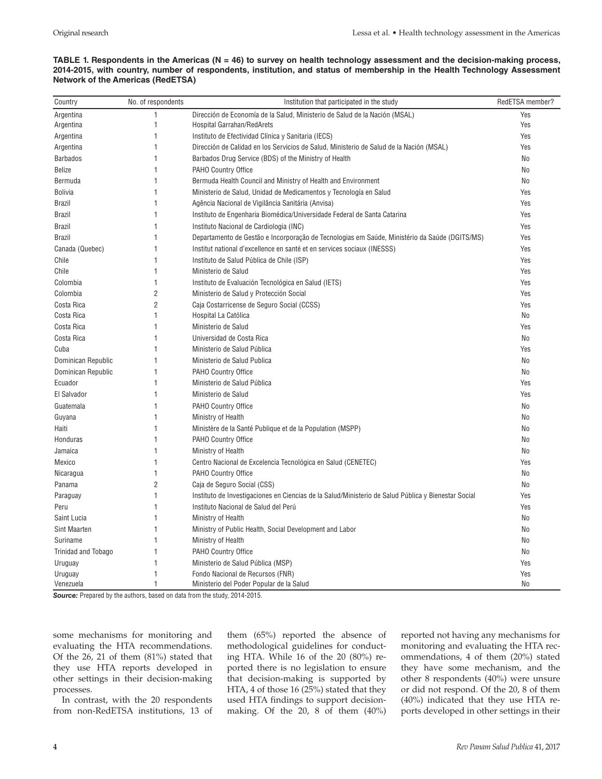#### **TABLE 1. Respondents in the Americas (N = 46) to survey on health technology assessment and the decision-making process, 2014-2015, with country, number of respondents, institution, and status of membership in the Health Technology Assessment Network of the Americas (RedETSA)**

| Country             | No. of respondents | Institution that participated in the study                                                          | RedETSA member? |
|---------------------|--------------------|-----------------------------------------------------------------------------------------------------|-----------------|
| Argentina           | 1                  | Dirección de Economía de la Salud, Ministerio de Salud de la Nación (MSAL)                          | Yes             |
| Argentina           | 1                  | Hospital Garrahan/RedArets                                                                          | Yes             |
| Argentina           | 1                  | Instituto de Efectividad Clínica y Sanitaria (IECS)                                                 | Yes             |
| Argentina           | 1                  | Dirección de Calidad en los Servicios de Salud, Ministerio de Salud de la Nación (MSAL)             | Yes             |
| <b>Barbados</b>     | 1                  | Barbados Drug Service (BDS) of the Ministry of Health                                               | No              |
| <b>Belize</b>       | 1                  | PAHO Country Office                                                                                 | No              |
| Bermuda             | 1                  | Bermuda Health Council and Ministry of Health and Environment                                       | No              |
| <b>Bolivia</b>      | 1                  | Ministerio de Salud, Unidad de Medicamentos y Tecnología en Salud                                   | Yes             |
| <b>Brazil</b>       | 1                  | Agência Nacional de Vigilância Sanitária (Anvisa)                                                   | Yes             |
| <b>Brazil</b>       | 1                  | Instituto de Engenharia Biomédica/Universidade Federal de Santa Catarina                            | Yes             |
| <b>Brazil</b>       | 1                  | Instituto Nacional de Cardiologia (INC)                                                             | Yes             |
| <b>Brazil</b>       | 1                  | Departamento de Gestão e Incorporação de Tecnologias em Saúde, Ministério da Saúde (DGITS/MS)       | Yes             |
| Canada (Quebec)     | 1                  | Institut national d'excellence en santé et en services sociaux (INESSS)                             | Yes             |
| Chile               | 1                  | Instituto de Salud Pública de Chile (ISP)                                                           | Yes             |
| Chile               | 1                  | Ministerio de Salud                                                                                 | Yes             |
| Colombia            | 1                  | Instituto de Evaluación Tecnológica en Salud (IETS)                                                 | Yes             |
| Colombia            | $\overline{2}$     | Ministerio de Salud y Protección Social                                                             | Yes             |
| Costa Rica          | $\overline{c}$     | Caja Costarricense de Seguro Social (CCSS)                                                          | Yes             |
| Costa Rica          | 1                  | Hospital La Católica                                                                                | No              |
| Costa Rica          | 1                  | Ministerio de Salud                                                                                 | Yes             |
| Costa Rica          | 1                  | Universidad de Costa Rica                                                                           | No              |
| Cuba                | 1                  | Ministerio de Salud Pública                                                                         | Yes             |
| Dominican Republic  | 1                  | Ministerio de Salud Publica                                                                         | No              |
| Dominican Republic  | 1                  | PAHO Country Office                                                                                 | No              |
| Ecuador             | 1                  | Ministerio de Salud Pública                                                                         | Yes             |
| El Salvador         | 1                  | Ministerio de Salud                                                                                 | Yes             |
| Guatemala           | 1                  | <b>PAHO Country Office</b>                                                                          | No              |
| Guyana              | 1                  | Ministry of Health                                                                                  | No              |
| Haiti               | 1                  | Ministère de la Santé Publique et de la Population (MSPP)                                           | No              |
| Honduras            | 1                  | PAHO Country Office                                                                                 | No              |
| Jamaica             | 1                  | Ministry of Health                                                                                  | No              |
| Mexico              | 1                  | Centro Nacional de Excelencia Tecnológica en Salud (CENETEC)                                        | Yes             |
| Nicaragua           | 1                  | PAHO Country Office                                                                                 | No              |
| Panama              | $\overline{2}$     | Caja de Seguro Social (CSS)                                                                         | No              |
| Paraguay            | 1                  | Instituto de Investigaciones en Ciencias de la Salud/Ministerio de Salud Pública y Bienestar Social | Yes             |
| Peru                | 1                  | Instituto Nacional de Salud del Perú                                                                | Yes             |
| Saint Lucia         | 1                  | Ministry of Health                                                                                  | No              |
| Sint Maarten        | 1                  | Ministry of Public Health, Social Development and Labor                                             | No              |
| Suriname            | 1                  | Ministry of Health                                                                                  | No              |
| Trinidad and Tobago | 1                  | PAHO Country Office                                                                                 | No              |
| Uruguay             | 1                  | Ministerio de Salud Pública (MSP)                                                                   | Yes             |
| Uruguay             | 1                  | Fondo Nacional de Recursos (FNR)                                                                    | Yes             |
| Venezuela           | 1                  | Ministerio del Poder Popular de la Salud                                                            | No              |

*Source:* Prepared by the authors, based on data from the study, 2014-2015.

some mechanisms for monitoring and evaluating the HTA recommendations. Of the 26, 21 of them (81%) stated that they use HTA reports developed in other settings in their decision-making processes.

In contrast, with the 20 respondents from non-RedETSA institutions, 13 of them (65%) reported the absence of methodological guidelines for conducting HTA. While 16 of the 20 (80%) reported there is no legislation to ensure that decision-making is supported by HTA, 4 of those 16 (25%) stated that they used HTA findings to support decisionmaking. Of the 20, 8 of them (40%)

reported not having any mechanisms for monitoring and evaluating the HTA recommendations, 4 of them (20%) stated they have some mechanism, and the other 8 respondents (40%) were unsure or did not respond. Of the 20, 8 of them (40%) indicated that they use HTA reports developed in other settings in their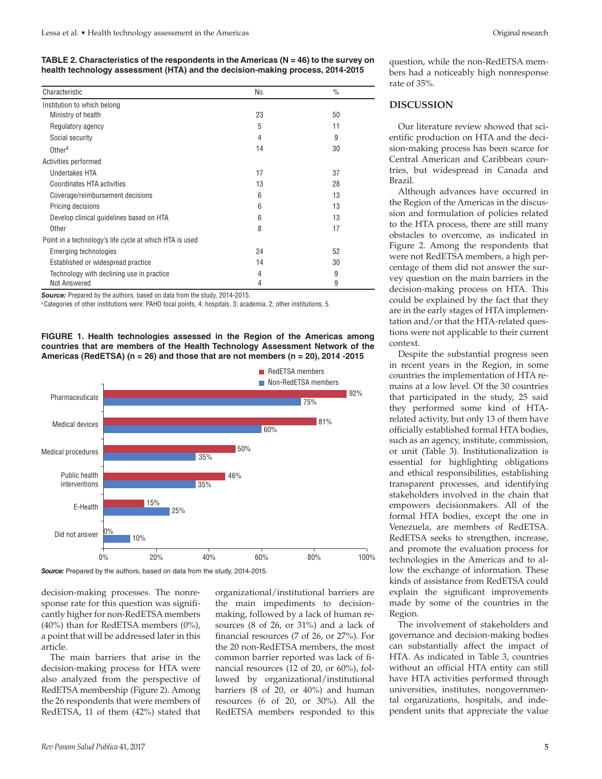| Characteristic                                          | No. | $\frac{0}{0}$ |
|---------------------------------------------------------|-----|---------------|
| Institution to which belong                             |     |               |
| Ministry of health                                      | 23  | 50            |
| Regulatory agency                                       | 5   | 11            |
| Social security                                         | 4   | 9             |
| Other <sup>a</sup>                                      | 14  | 30            |
| Activities performed                                    |     |               |
| <b>Undertakes HTA</b>                                   | 17  | 37            |
| Coordinates HTA activities                              | 13  | 28            |
| Coverage/reimbursement decisions                        | 6   | 13            |
| Pricing decisions                                       | 6   | 13            |
| Develop clinical guidelines based on HTA                | 6   | 13            |
| Other                                                   | 8   | 17            |
| Point in a technology's life cycle at which HTA is used |     |               |
| Emerging technologies                                   | 24  | 52            |
| Established or widespread practice                      | 14  | 30            |
| Technology with declining use in practice               | 4   | 9             |
| Not Answered                                            | 4   | 9             |

*Source:* Prepared by the authors, based on data from the study, 2014-2015.

<sup>a</sup> Categories of other institutions were: PAHO focal points, 4; hospitals, 3; academia, 2; other institutions, 5.

**FIGURE 1. Health technologies assessed in the Region of the Americas among countries that are members of the Health Technology Assessment Network of the Americas (RedETSA) (n = 26) and those that are not members (n = 20), 2014 -2015**



*Source:* Prepared by the authors, based on data from the study, 2014-2015.

decision-making processes. The nonresponse rate for this question was significantly higher for non-RedETSA members (40%) than for RedETSA members (0%), a point that will be addressed later in this article.

The main barriers that arise in the decision-making process for HTA were also analyzed from the perspective of RedETSA membership (Figure 2). Among the 26 respondents that were members of RedETSA, 11 of them (42%) stated that

organizational/institutional barriers are the main impediments to decisionmaking, followed by a lack of human resources (8 of 26, or 31%) and a lack of financial resources (7 of 26, or 27%). For the 20 non-RedETSA members, the most common barrier reported was lack of financial resources (12 of 20, or 60%), followed by organizational/institutional barriers (8 of 20, or 40%) and human resources (6 of 20, or 30%). All the RedETSA members responded to this

question, while the non-RedETSA members had a noticeably high nonresponse rate of 35%.

### **DISCUSSION**

Our literature review showed that scientific production on HTA and the decision-making process has been scarce for Central American and Caribbean countries, but widespread in Canada and Brazil.

Although advances have occurred in the Region of the Americas in the discussion and formulation of policies related to the HTA process, there are still many obstacles to overcome, as indicated in Figure 2. Among the respondents that were not RedETSA members, a high percentage of them did not answer the survey question on the main barriers in the decision-making process on HTA. This could be explained by the fact that they are in the early stages of HTA implementation and/or that the HTA-related questions were not applicable to their current context.

Despite the substantial progress seen in recent years in the Region, in some countries the implementation of HTA remains at a low level. Of the 30 countries that participated in the study, 25 said they performed some kind of HTArelated activity, but only 13 of them have officially established formal HTA bodies, such as an agency, institute, commission, or unit (Table 3). Institutionalization is essential for highlighting obligations and ethical responsibilities, establishing transparent processes, and identifying stakeholders involved in the chain that empowers decisionmakers. All of the formal HTA bodies, except the one in Venezuela, are members of RedETSA. RedETSA seeks to strengthen, increase, and promote the evaluation process for technologies in the Americas and to allow the exchange of information. These kinds of assistance from RedETSA could explain the significant improvements made by some of the countries in the Region.

The involvement of stakeholders and governance and decision-making bodies can substantially affect the impact of HTA. As indicated in Table 3, countries without an official HTA entity can still have HTA activities performed through universities, institutes, nongovernmental organizations, hospitals, and independent units that appreciate the value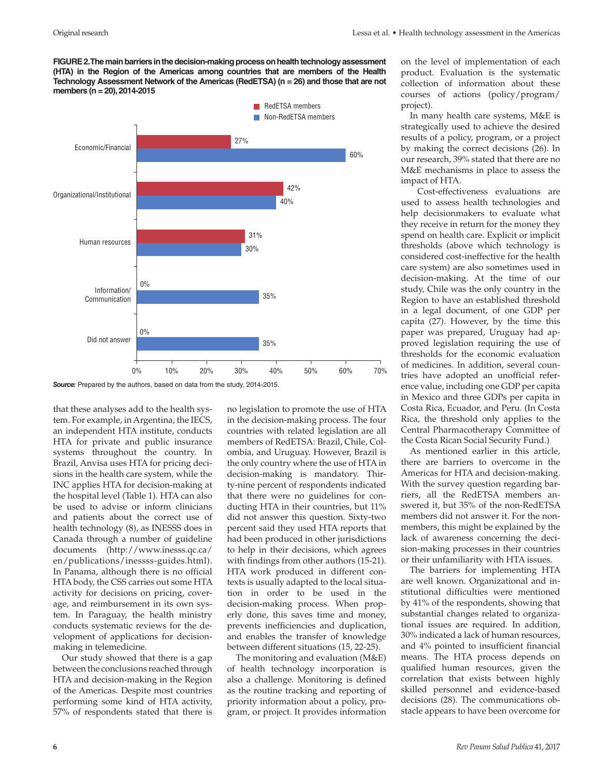**FIGURE 2. The main barriers in the decision-making process on health technology assessment (HTA) in the Region of the Americas among countries that are members of the Health Technology Assessment Network of the Americas (RedETSA) (n = 26) and those that are not members (n = 20), 2014-2015**



*Source:* Prepared by the authors, based on data from the study, 2014-2015.

that these analyses add to the health system. For example, in Argentina, the IECS, an independent HTA institute, conducts HTA for private and public insurance systems throughout the country. In Brazil, Anvisa uses HTA for pricing decisions in the health care system, while the INC applies HTA for decision-making at the hospital level (Table 1). HTA can also be used to advise or inform clinicians and patients about the correct use of health technology (8), as INESSS does in Canada through a number of guideline documents [\(http://www.inesss.qc.ca/](http://www.inesss.qc.ca/en/publications/inessss-guides.html) [en/publications/inessss-guides.html](http://www.inesss.qc.ca/en/publications/inessss-guides.html)). In Panama, although there is no official HTA body, the CSS carries out some HTA activity for decisions on pricing, coverage, and reimbursement in its own system. In Paraguay, the health ministry conducts systematic reviews for the development of applications for decisionmaking in telemedicine.

Our study showed that there is a gap between the conclusions reached through HTA and decision-making in the Region of the Americas. Despite most countries performing some kind of HTA activity, 57% of respondents stated that there is no legislation to promote the use of HTA in the decision-making process. The four countries with related legislation are all members of RedETSA: Brazil, Chile, Colombia, and Uruguay. However, Brazil is the only country where the use of HTA in decision-making is mandatory. Thirty-nine percent of respondents indicated that there were no guidelines for conducting HTA in their countries, but 11% did not answer this question. Sixty-two percent said they used HTA reports that had been produced in other jurisdictions to help in their decisions, which agrees with findings from other authors (15-21). HTA work produced in different contexts is usually adapted to the local situation in order to be used in the decision-making process. When properly done, this saves time and money, prevents inefficiencies and duplication, and enables the transfer of knowledge between different situations (15, 22-25).

The monitoring and evaluation (M&E) of health technology incorporation is also a challenge. Monitoring is defined as the routine tracking and reporting of priority information about a policy, program, or project. It provides information on the level of implementation of each product. Evaluation is the systematic collection of information about these courses of actions (policy/program/ project).

In many health care systems, M&E is strategically used to achieve the desired results of a policy, program, or a project by making the correct decisions (26). In our research, 39% stated that there are no M&E mechanisms in place to assess the impact of HTA.

 Cost-effectiveness evaluations are used to assess health technologies and help decisionmakers to evaluate what they receive in return for the money they spend on health care. Explicit or implicit thresholds (above which technology is considered cost-ineffective for the health care system) are also sometimes used in decision-making. At the time of our study, Chile was the only country in the Region to have an established threshold in a legal document, of one GDP per capita (27). However, by the time this paper was prepared, Uruguay had approved legislation requiring the use of thresholds for the economic evaluation of medicines. In addition, several countries have adopted an unofficial reference value, including one GDP per capita in Mexico and three GDPs per capita in Costa Rica, Ecuador, and Peru. (In Costa Rica, the threshold only applies to the Central Pharmacotherapy Committee of the Costa Rican Social Security Fund.)

As mentioned earlier in this article, there are barriers to overcome in the Americas for HTA and decision-making. With the survey question regarding barriers, all the RedETSA members answered it, but 35% of the non-RedETSA members did not answer it. For the nonmembers, this might be explained by the lack of awareness concerning the decision-making processes in their countries or their unfamiliarity with HTA issues.

The barriers for implementing HTA are well known. Organizational and institutional difficulties were mentioned by 41% of the respondents, showing that substantial changes related to organizational issues are required. In addition, 30% indicated a lack of human resources, and 4% pointed to insufficient financial means. The HTA process depends on qualified human resources, given the correlation that exists between highly skilled personnel and evidence-based decisions (28). The communications obstacle appears to have been overcome for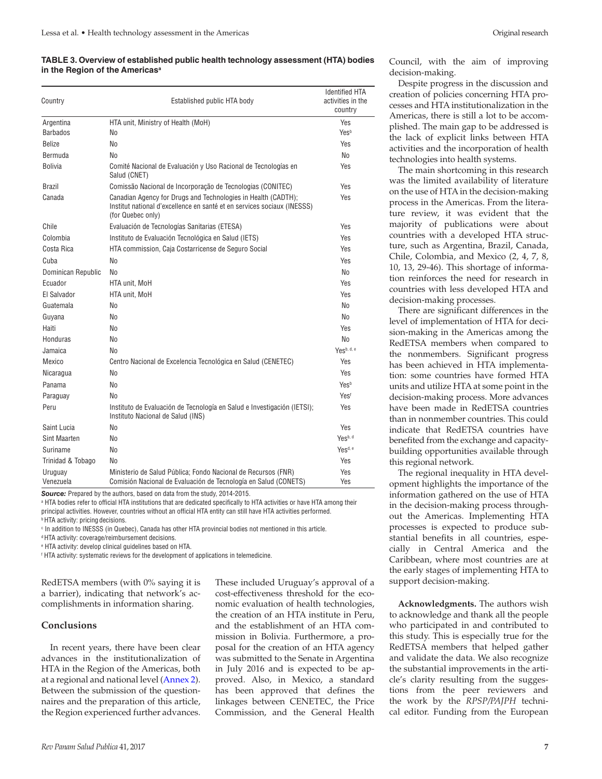#### **TABLE 3. Overview of established public health technology assessment (HTA) bodies in the Region of the Americasa**

| Country              | Established public HTA body                                                                                                                                   | <b>Identified HTA</b><br>activities in the<br>country |  |
|----------------------|---------------------------------------------------------------------------------------------------------------------------------------------------------------|-------------------------------------------------------|--|
| Argentina            | HTA unit, Ministry of Health (MoH)                                                                                                                            | Yes                                                   |  |
| <b>Barbados</b>      | No                                                                                                                                                            | Yesb                                                  |  |
| <b>Belize</b>        | No                                                                                                                                                            | Yes                                                   |  |
| Bermuda              | No                                                                                                                                                            | No                                                    |  |
| <b>Bolivia</b>       | Comité Nacional de Evaluación y Uso Racional de Tecnologías en<br>Salud (CNET)                                                                                | Yes                                                   |  |
| <b>Brazil</b>        | Comissão Nacional de Incorporação de Tecnologias (CONITEC)                                                                                                    | Yes                                                   |  |
| Canada               | Canadian Agency for Drugs and Technologies in Health (CADTH);<br>Institut national d'excellence en santé et en services sociaux (INESSS)<br>(for Quebec only) | Yes                                                   |  |
| Chile                | Evaluación de Tecnologías Sanitarias (ETESA)                                                                                                                  | Yes                                                   |  |
| Colombia             | Instituto de Evaluación Tecnológica en Salud (IETS)                                                                                                           | Yes                                                   |  |
| Costa Rica           | HTA commission, Caja Costarricense de Seguro Social                                                                                                           | Yes                                                   |  |
| Cuba                 | No                                                                                                                                                            | Yes                                                   |  |
| Dominican Republic   | No                                                                                                                                                            | No                                                    |  |
| Ecuador              | HTA unit, MoH                                                                                                                                                 | Yes                                                   |  |
| El Salvador          | HTA unit, MoH                                                                                                                                                 | Yes                                                   |  |
| Guatemala            | No                                                                                                                                                            | No                                                    |  |
| Guyana               | No                                                                                                                                                            | <b>No</b>                                             |  |
| Haiti                | No                                                                                                                                                            | Yes                                                   |  |
| Honduras             | No                                                                                                                                                            | No                                                    |  |
| Jamaica              | No                                                                                                                                                            | Yesb, d, e                                            |  |
| Mexico               | Centro Nacional de Excelencia Tecnológica en Salud (CENETEC)                                                                                                  | Yes                                                   |  |
| Nicaragua            | No                                                                                                                                                            | Yes                                                   |  |
| Panama               | No                                                                                                                                                            | Yesb                                                  |  |
| Paraguay             | No                                                                                                                                                            | Yest                                                  |  |
| Peru                 | Instituto de Evaluación de Tecnología en Salud e Investigación (IETSI);<br>Instituto Nacional de Salud (INS)                                                  | Yes                                                   |  |
| Saint Lucia          | No                                                                                                                                                            | Yes                                                   |  |
| Sint Maarten         | No                                                                                                                                                            | Yesb, d                                               |  |
| Suriname             | No                                                                                                                                                            | Yes <sup>d, e</sup>                                   |  |
| Trinidad & Tobago    | No                                                                                                                                                            | Yes                                                   |  |
| Uruguay<br>Venezuela | Ministerio de Salud Pública; Fondo Nacional de Recursos (FNR)<br>Comisión Nacional de Evaluación de Tecnología en Salud (CONETS)                              | Yes<br>Yes                                            |  |

*Source:* Prepared by the authors, based on data from the study, 2014-2015.

a HTA bodies refer to official HTA institutions that are dedicated specifically to HTA activities or have HTA among their principal activities. However, countries without an official HTA entity can still have HTA activities performed. **b HTA activity: pricing decisions.** 

c In addition to INESSS (in Quebec), Canada has other HTA provincial bodies not mentioned in this article.

d HTA activity: coverage/reimbursement decisions.

e HTA activity: develop clinical guidelines based on HTA.

f HTA activity: systematic reviews for the development of applications in telemedicine.

RedETSA members (with 0% saying it is a barrier), indicating that network's accomplishments in information sharing.

#### **Conclusions**

In recent years, there have been clear advances in the institutionalization of HTA in the Region of the Americas, both at a regional and national level ([Annex 2](http://www.paho.org/journal/index.php?option=com_docman&view=download&slug=8-caccavo-annex2&Itemid=847)). Between the submission of the questionnaires and the preparation of this article, the Region experienced further advances.

These included Uruguay's approval of a cost-effectiveness threshold for the economic evaluation of health technologies, the creation of an HTA institute in Peru, and the establishment of an HTA commission in Bolivia. Furthermore, a proposal for the creation of an HTA agency was submitted to the Senate in Argentina in July 2016 and is expected to be approved. Also, in Mexico, a standard has been approved that defines the linkages between CENETEC, the Price Commission, and the General Health

Council, with the aim of improving decision-making.

Despite progress in the discussion and creation of policies concerning HTA processes and HTA institutionalization in the Americas, there is still a lot to be accomplished. The main gap to be addressed is the lack of explicit links between HTA activities and the incorporation of health technologies into health systems.

The main shortcoming in this research was the limited availability of literature on the use of HTA in the decision-making process in the Americas. From the literature review, it was evident that the majority of publications were about countries with a developed HTA structure, such as Argentina, Brazil, Canada, Chile, Colombia, and Mexico (2, 4, 7, 8, 10, 13, 29-46). This shortage of information reinforces the need for research in countries with less developed HTA and decision-making processes.

There are significant differences in the level of implementation of HTA for decision-making in the Americas among the RedETSA members when compared to the nonmembers. Significant progress has been achieved in HTA implementation: some countries have formed HTA units and utilize HTA at some point in the decision-making process. More advances have been made in RedETSA countries than in nonmember countries. This could indicate that RedETSA countries have benefited from the exchange and capacitybuilding opportunities available through this regional network.

The regional inequality in HTA development highlights the importance of the information gathered on the use of HTA in the decision-making process throughout the Americas. Implementing HTA processes is expected to produce substantial benefits in all countries, especially in Central America and the Caribbean, where most countries are at the early stages of implementing HTA to support decision-making.

**Acknowledgments.** The authors wish to acknowledge and thank all the people who participated in and contributed to this study. This is especially true for the RedETSA members that helped gather and validate the data. We also recognize the substantial improvements in the article's clarity resulting from the suggestions from the peer reviewers and the work by the *RPSP/PAJPH* technical editor. Funding from the European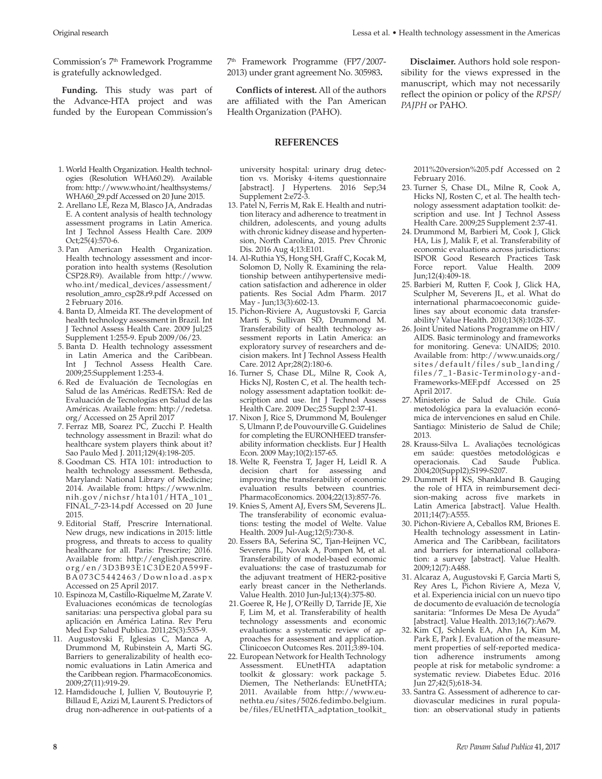Commission's 7<sup>th</sup> Framework Programme is gratefully acknowledged.

**Funding.** This study was part of the Advance-HTA project and was funded by the European Commission's

- 1. World Health Organization. Health technologies (Resolution WHA60.29). Available from: [http://www.who.int/healthsystems/](http://www.who.int/healthsystems/WHA60_29.pdf) [WHA60\\_29.pdf](http://www.who.int/healthsystems/WHA60_29.pdf) Accessed on 20 June 2015.
- 2. Arellano LE, Reza M, Blasco JA, Andradas E. A content analysis of health technology assessment programs in Latin America. Int J Technol Assess Health Care. 2009 Oct;25(4):570-6.
- 3. Pan American Health Organization. Health technology assessment and incorporation into health systems (Resolution CSP28.R9). Available from [http://www.](http://www.who.int/medical_devices/assessment/resolution_amro_csp28.r9.pdf) [who.int/medical\\_devices/assessment/](http://www.who.int/medical_devices/assessment/resolution_amro_csp28.r9.pdf) [resolution\\_amro\\_csp28.r9.pdf](http://www.who.int/medical_devices/assessment/resolution_amro_csp28.r9.pdf) Accessed on 2 February 2016.
- 4. Banta D, Almeida RT. The development of health technology assessment in Brazil. Int J Technol Assess Health Care. 2009 Jul;25 Supplement 1:255-9. Epub 2009/06/23.
- 5. Banta D. Health technology assessment in Latin America and the Caribbean. Int J Technol Assess Health Care. 2009;25:Supplement 1:253-4.
- 6. Red de Evaluación de Tecnologías en Salud de las Américas. RedETSA: Red de Evaluación de Tecnologías en Salud de las Américas. Available from: [http://redetsa.](http://redetsa.org/) [org/](http://redetsa.org/) Accessed on 25 April 2017
- 7. Ferraz MB, Soarez PC, Zucchi P. Health technology assessment in Brazil: what do healthcare system players think about it? Sao Paulo Med J. 2011;129(4):198-205.
- 8. Goodman CS. HTA 101: introduction to health technology assessment. Bethesda, Maryland: National Library of Medicine; 2014. Available from: https://www.nlm. nih.gov/nichsr/hta101/HTA\_101\_ FINAL\_7-23-14.pdf Accessed on 20 June 2015.
- 9. Editorial Staff, Prescrire International. New drugs, new indications in 2015: little progress, and threats to access to quality healthcare for all. Paris: Prescrire; 2016. Available from: [http://english.prescrire.](http://english.prescrire.org/en/3D3B93E1C3DE20A599FBA073C5442463/Download.aspx) [org/en/3D3B93E1C3DE20A599F](http://english.prescrire.org/en/3D3B93E1C3DE20A599FBA073C5442463/Download.aspx) - [B A 0 7 3 C 5 4 4 2 4 6 3 / D o w n l o a d . a s p x](http://english.prescrire.org/en/3D3B93E1C3DE20A599FBA073C5442463/Download.aspx) Accessed on 25 April 2017.
- 10. Espinoza M, Castillo-Riquelme M, Zarate V. Evaluaciones económicas de tecnologías sanitarias: una perspectiva global para su aplicación en América Latina. Rev Peru Med Exp Salud Publica. 2011;25(3):535-9.
- 11. Augustovski F, Iglesias C, Manca A, Drummond M, Rubinstein A, Marti SG. Barriers to generalizability of health economic evaluations in Latin America and the Caribbean region. PharmacoEconomics. 2009;27(11):919-29.
- 12. Hamdidouche I, Jullien V, Boutouyrie P, Billaud E, Azizi M, Laurent S. Predictors of drug non-adherence in out-patients of a

**Conflicts of interest.** All of the authors are affiliated with the Pan American Health Organization (PAHO).

#### **REFERENCES**

university hospital: urinary drug detection vs. Morisky 4-items questionnaire [abstract]. J Hypertens. 2016 Sep;34 Supplement 2:e72-3.

- 13. Patel N, Ferris M, Rak E. Health and nutrition literacy and adherence to treatment in children, adolescents, and young adults with chronic kidney disease and hypertension, North Carolina, 2015. Prev Chronic Dis. 2016 Aug 4;13:E101.
- 14. Al-Ruthia YS, Hong SH, Graff C, Kocak M, Solomon D, Nolly R. Examining the relationship between antihypertensive medication satisfaction and adherence in older patients. Res Social Adm Pharm. 2017 May - Jun;13(3):602-13.
- 15. Pichon-Riviere A, Augustovski F, Garcia Marti S, Sullivan SD, Drummond M. Transferability of health technology assessment reports in Latin America: an exploratory survey of researchers and decision makers. Int J Technol Assess Health Care. 2012 Apr;28(2):180-6.
- 16. Turner S, Chase DL, Milne R, Cook A, Hicks NJ, Rosten C, et al. The health technology assessment adaptation toolkit: description and use. Int J Technol Assess Health Care. 2009 Dec;25 Suppl 2:37-41.
- 17. Nixon J, Rice S, Drummond M, Boulenger S, Ulmann P, de Pouvourville G. Guidelines for completing the EURONHEED transferability information checklists. Eur J Health Econ. 2009 May;10(2):157-65.
- 18. Welte R, Feenstra T, Jager H, Leidl R. A decision chart for assessing and improving the transferability of economic evaluation results between countries. PharmacoEconomics. 2004;22(13):857-76.
- 19. Knies S, Ament AJ, Evers SM, Severens JL. The transferability of economic evaluations: testing the model of Welte. Value Health. 2009 Jul-Aug;12(5):730-8.
- 20. Essers BA, Seferina SC, Tjan-Heijnen VC, Severens JL, Novak A, Pompen M, et al. Transferability of model-based economic evaluations: the case of trastuzumab for the adjuvant treatment of HER2-positive early breast cancer in the Netherlands. Value Health. 2010 Jun-Jul;13(4):375-80.
- 21.Goeree R, He J, O'Reilly D, Tarride JE, Xie F, Lim M, et al. Transferability of health technology assessments and economic evaluations: a systematic review of approaches for assessment and application. Clinicoecon Outcomes Res. 2011;3:89-104.
- 22. European Network for Health Technology Assessment. EUnetHTA adaptation toolkit & glossary: work package 5. Diemen, The Netherlands: EUnetHTA; 2011. Available from [http://www.eu](http://www.eunethta.eu/sites/5026.fedimbo.belgium.be/files/EUnetHTA_adptation_toolkit_2011%20version%205.pdf)[nethta.eu/sites/5026.fedimbo.belgium.](http://www.eunethta.eu/sites/5026.fedimbo.belgium.be/files/EUnetHTA_adptation_toolkit_2011%20version%205.pdf) [be/files/EUnetHTA\\_adptation\\_toolkit\\_](http://www.eunethta.eu/sites/5026.fedimbo.belgium.be/files/EUnetHTA_adptation_toolkit_2011%20version%205.pdf)

**Disclaimer.** Authors hold sole responsibility for the views expressed in the manuscript, which may not necessarily reflect the opinion or policy of the *RPSP/ PAJPH* or PAHO.

[2011%20version%205.pdf](http://www.eunethta.eu/sites/5026.fedimbo.belgium.be/files/EUnetHTA_adptation_toolkit_2011%20version%205.pdf) Accessed on 2 February 2016.

- 23. Turner S, Chase DL, Milne R, Cook A, Hicks NJ, Rosten C, et al. The health technology assessment adaptation toolkit: description and use. Int J Technol Assess Health Care. 2009;25 Supplement 2:37-41.
- 24. Drummond M, Barbieri M, Cook J, Glick HA, Lis J, Malik F, et al. Transferability of economic evaluations across jurisdictions: ISPOR Good Research Practices Task Force report. Value Health. 2009 Jun;12(4):409-18.
- 25. Barbieri M, Rutten F, Cook J, Glick HA, Sculpher M, Severens JL, et al. What do international pharmacoeconomic guidelines say about economic data transferability? Value Health. 2010;13(8):1028-37.
- 26. Joint United Nations Programme on HIV/ AIDS. Basic terminology and frameworks for monitoring. Geneva: UNAIDS; 2010. Available from: [http://www.unaids.org/](http://www.unaids.org/sites/default/files/sub_landing/files/7_1-Basic-Terminology-and-Frameworks-MEF.pdf) [sites/default/files/sub\\_landing/](http://www.unaids.org/sites/default/files/sub_landing/files/7_1-Basic-Terminology-and-Frameworks-MEF.pdf) [files/7\\_1-Basic-Terminology-and-](http://www.unaids.org/sites/default/files/sub_landing/files/7_1-Basic-Terminology-and-Frameworks-MEF.pdf)[Frameworks-MEF.pdf](http://www.unaids.org/sites/default/files/sub_landing/files/7_1-Basic-Terminology-and-Frameworks-MEF.pdf) Accessed on 25 April 2017.
- 27. Ministerio de Salud de Chile. Guía metodológica para la evaluación económica de intervenciones en salud en Chile. Santiago: Ministerio de Salud de Chile; 2013.
- 28. Krauss-Silva L. Avaliações tecnológicas em saúde: questões metodológicas e operacionais. Cad Saude Publica. 2004;20(Suppl2);S199-S207.
- 29. Dummett H KS, Shankland B. Gauging the role of HTA in reimbursement decision-making across five markets in Latin America [abstract]. Value Health. 2011;14(7):A555.
- 30. Pichon-Riviere A, Ceballos RM, Briones E. Health technology assessment in Latin-America and The Caribbean, facilitators and barriers for international collaboration: a survey [abstract]. Value Health. 2009;12(7):A488.
- 31. Alcaraz A, Augustovski F, Garcia Marti S, Rey Ares L, Pichon Riviere A, Meza V, et al. Experiencia inicial con un nuevo tipo de documento de evaluación de tecnología sanitaria: "Informes De Mesa De Ayuda" [abstract]. Value Health. 2013;16(7):A679.
- 32. Kim CJ, Schlenk EA, Ahn JA, Kim M, Park E, Park J. Evaluation of the measurement properties of self-reported medication adherence instruments among people at risk for metabolic syndrome: a systematic review. Diabetes Educ. 2016 Jun 27;42(5);618-34.
- 33. Santra G. Assessment of adherence to cardiovascular medicines in rural population: an observational study in patients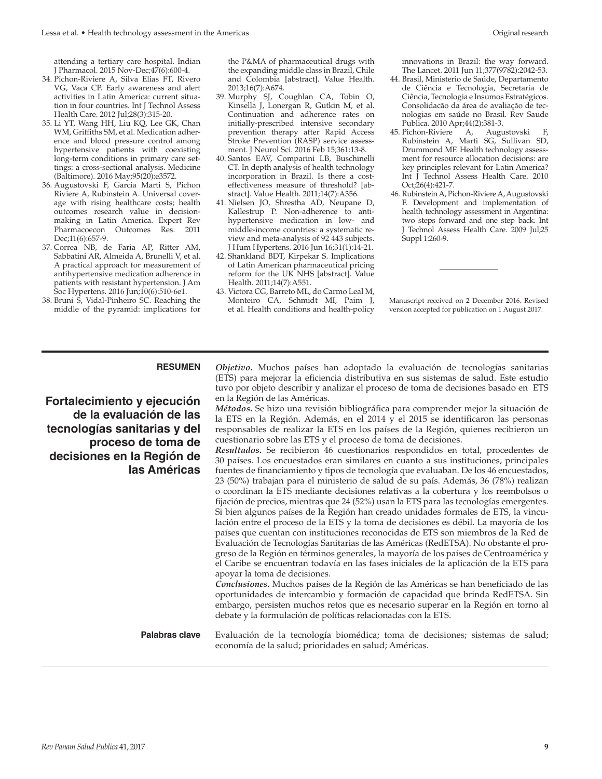attending a tertiary care hospital. Indian J Pharmacol. 2015 Nov-Dec;47(6):600-4.

- 34. Pichon-Riviere A, Silva Elias FT, Rivero VG, Vaca CP. Early awareness and alert activities in Latin America: current situation in four countries. Int J Technol Assess Health Care. 2012 Jul;28(3):315-20.
- 35. Li YT, Wang HH, Liu KQ, Lee GK, Chan WM, Griffiths SM, et al. Medication adherence and blood pressure control among hypertensive patients with coexisting long-term conditions in primary care settings: a cross-sectional analysis. Medicine (Baltimore). 2016 May;95(20):e3572.
- 36. Augustovski F, Garcia Marti S, Pichon Riviere A, Rubinstein A. Universal coverage with rising healthcare costs; health outcomes research value in decisionmaking in Latin America. Expert Rev Pharmacoecon Outcomes Res. 2011 Dec;11(6):657-9.
- 37. Correa NB, de Faria AP, Ritter AM, Sabbatini AR, Almeida A, Brunelli V, et al. A practical approach for measurement of antihypertensive medication adherence in patients with resistant hypertension. J Am Soc Hypertens. 2016 Jun;10(6):510-6e1.
- 38. Bruni S, Vidal-Pinheiro SC. Reaching the middle of the pyramid: implications for

the P&MA of pharmaceutical drugs with the expanding middle class in Brazil, Chile and Colombia [abstract]. Value Health. 2013;16(7):A674.

- 39. Murphy SJ, Coughlan CA, Tobin O, Kinsella J, Lonergan R, Gutkin M, et al. Continuation and adherence rates on initially-prescribed intensive secondary prevention therapy after Rapid Access Stroke Prevention (RASP) service assessment. J Neurol Sci. 2016 Feb 15;361:13-8.
- 40. Santos EAV, Comparini LB, Buschinelli CT. In depth analysis of health technology incorporation in Brazil. Is there a costeffectiveness measure of threshold? [abstract]. Value Health. 2011;14(7):A356.
- 41. Nielsen JO, Shrestha AD, Neupane D, Kallestrup P. Non-adherence to antihypertensive medication in low- and middle-income countries: a systematic review and meta-analysis of 92 443 subjects. J Hum Hypertens. 2016 Jun 16;31(1):14-21.
- 42. Shankland BDT, Kirpekar S. Implications of Latin American pharmaceutical pricing reform for the UK NHS [abstract]. Value Health. 2011;14(7):A551.
- 43. Victora CG, Barreto ML, do Carmo Leal M, Monteiro CA, Schmidt MI, Paim J, et al. Health conditions and health-policy

innovations in Brazil: the way forward. The Lancet. 2011 Jun 11;377(9782):2042-53.

- 44. Brasil, Ministerio de Saúde, Departamento de Ciência e Tecnología, Secretaria de Ciência, Tecnologia e Insumos Estratégicos. Consolidacão da área de avaliação de tecnologias em saúde no Brasil. Rev Saude Publica. 2010 Apr;44(2):381-3.
- 45. Pichon-Riviere A, Augustovski F, Rubinstein A, Marti SG, Sullivan SD, Drummond MF. Health technology assessment for resource allocation decisions: are key principles relevant for Latin America? Int J Technol Assess Health Care. 2010 Oct;26(4):421-7.
- 46. Rubinstein A, Pichon-Riviere A, Augustovski F. Development and implementation of health technology assessment in Argentina: two steps forward and one step back. Int J Technol Assess Health Care. 2009 Jul;25 Suppl 1:260-9.

Manuscript received on 2 December 2016. Revised version accepted for publication on 1 August 2017.

**Fortalecimiento y ejecución de la evaluación de las tecnologías sanitarias y del proceso de toma de decisiones en la Región de las Américas**

**RESUMEN** *Objetivo.* Muchos países han adoptado la evaluación de tecnologías sanitarias (ETS) para mejorar la eficiencia distributiva en sus sistemas de salud. Este estudio tuvo por objeto describir y analizar el proceso de toma de decisiones basado en ETS en la Región de las Américas.

> *Métodos.* Se hizo una revisión bibliográfica para comprender mejor la situación de la ETS en la Región. Además, en el 2014 y el 2015 se identificaron las personas responsables de realizar la ETS en los países de la Región, quienes recibieron un cuestionario sobre las ETS y el proceso de toma de decisiones.

> *Resultados.* Se recibieron 46 cuestionarios respondidos en total, procedentes de 30 países. Los encuestados eran similares en cuanto a sus instituciones, principales fuentes de financiamiento y tipos de tecnología que evaluaban. De los 46 encuestados, 23 (50%) trabajan para el ministerio de salud de su país. Además, 36 (78%) realizan o coordinan la ETS mediante decisiones relativas a la cobertura y los reembolsos o fijación de precios, mientras que 24 (52%) usan la ETS para las tecnologías emergentes. Si bien algunos países de la Región han creado unidades formales de ETS, la vinculación entre el proceso de la ETS y la toma de decisiones es débil. La mayoría de los países que cuentan con instituciones reconocidas de ETS son miembros de la Red de Evaluación de Tecnologías Sanitarias de las Américas (RedETSA). No obstante el progreso de la Región en términos generales, la mayoría de los países de Centroamérica y el Caribe se encuentran todavía en las fases iniciales de la aplicación de la ETS para apoyar la toma de decisiones.

> *Conclusiones.* Muchos países de la Región de las Américas se han beneficiado de las oportunidades de intercambio y formación de capacidad que brinda RedETSA. Sin embargo, persisten muchos retos que es necesario superar en la Región en torno al debate y la formulación de políticas relacionadas con la ETS.

**Palabras clave** Evaluación de la tecnología biomédica; toma de decisiones; sistemas de salud; economía de la salud; prioridades en salud; Américas.